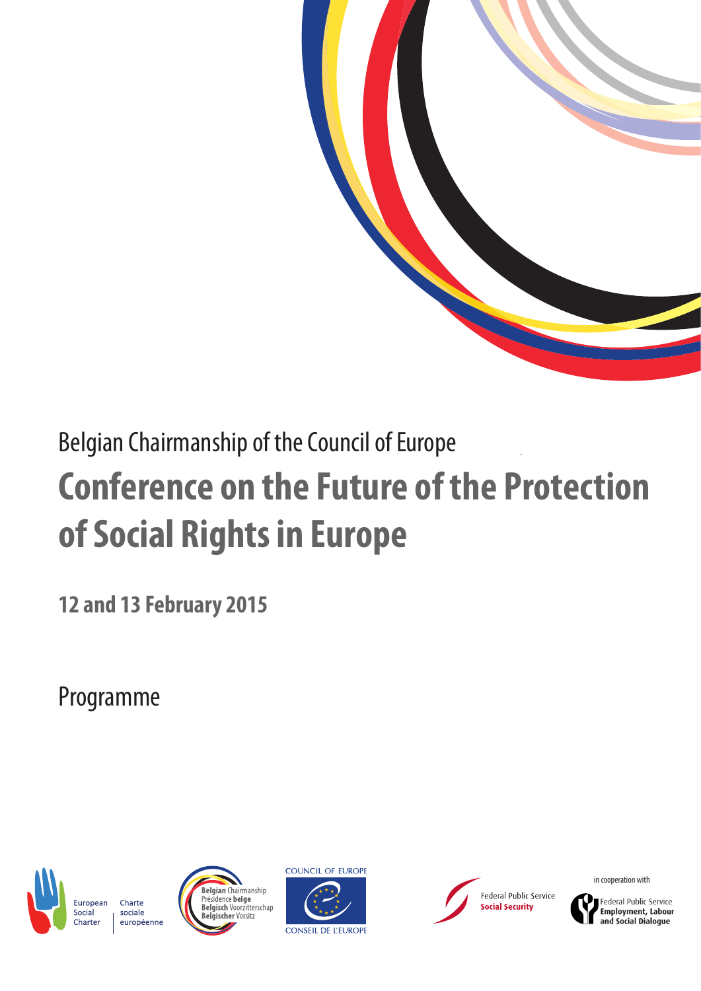

# Belgian Chairmanship of the Council of Europe **Conference on the Future of the Protection of Social Rights in Europe**

**12 and 13 February 2015**

Programme









in cooperation with



**Employment, Labour** and Social Dialogue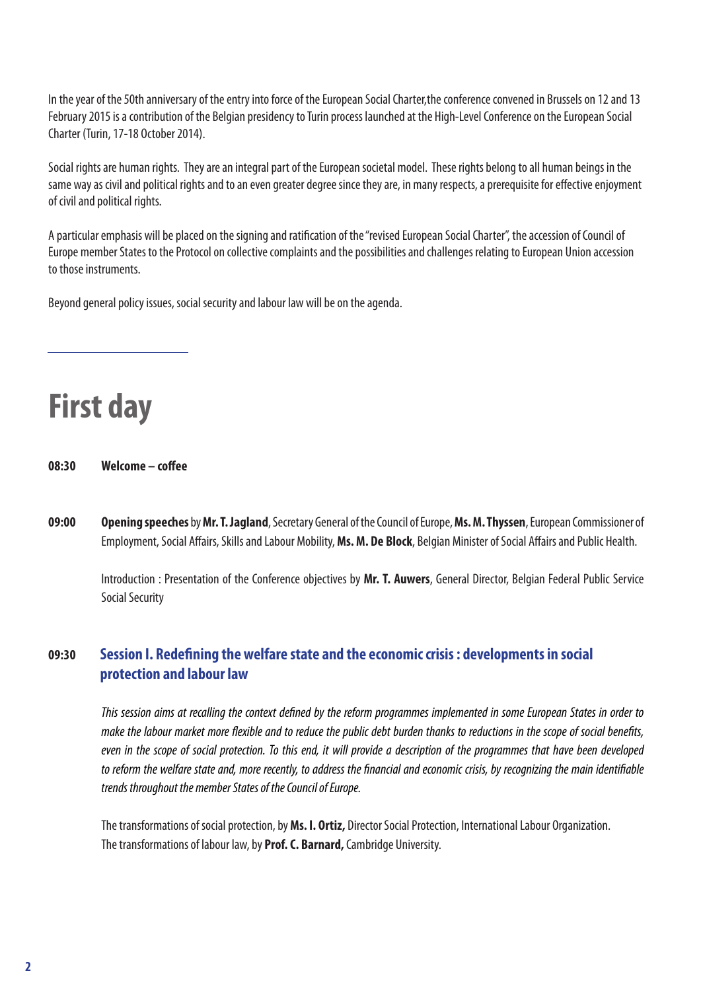In the year of the 50th anniversary of the entry into force of the European Social Charter,the conference convened in Brussels on 12 and 13 February 2015 is a contribution of the Belgian presidency to Turin process launched at the High-Level Conference on the European Social Charter (Turin, 17-18 October 2014).

Social rights are human rights. They are an integral part of the European societal model. These rights belong to all human beings in the same way as civil and political rights and to an even greater degree since they are, in many respects, a prerequisite for effective enjoyment of civil and political rights.

A particular emphasis will be placed on the signing and ratification of the "revised European Social Charter", the accession of Council of Europe member States to the Protocol on collective complaints and the possibilities and challenges relating to European Union accession to those instruments.

Beyond general policy issues, social security and labour law will be on the agenda.

**First day** 

**08:30 Welcome – coffee**

**09:00 Opening speeches** by **Mr. T. Jagland**, Secretary General of the Council of Europe, **Ms. M. Thyssen**, European Commissioner of Employment, Social Affairs, Skills and Labour Mobility, **Ms. M. De Block**, Belgian Minister of Social Affairs and Public Health.

Introduction : Presentation of the Conference objectives by **Mr. T. Auwers**, General Director, Belgian Federal Public Service Social Security

# **09:30 Session I. Redefining the welfare state and the economic crisis : developments in social protection and labour law**

*This session aims at recalling the context defined by the reform programmes implemented in some European States in order to make the labour market more flexible and to reduce the public debt burden thanks to reductions in the scope of social benefits, even in the scope of social protection. To this end, it will provide a description of the programmes that have been developed to reform the welfare state and, more recently, to address the financial and economic crisis, by recognizing the main identifiable trends throughout the member States of the Council of Europe.* 

The transformations of social protection, by **Ms. I. Ortiz,** Director Social Protection, International Labour Organization. The transformations of labour law, by **Prof. C. Barnard,** Cambridge University.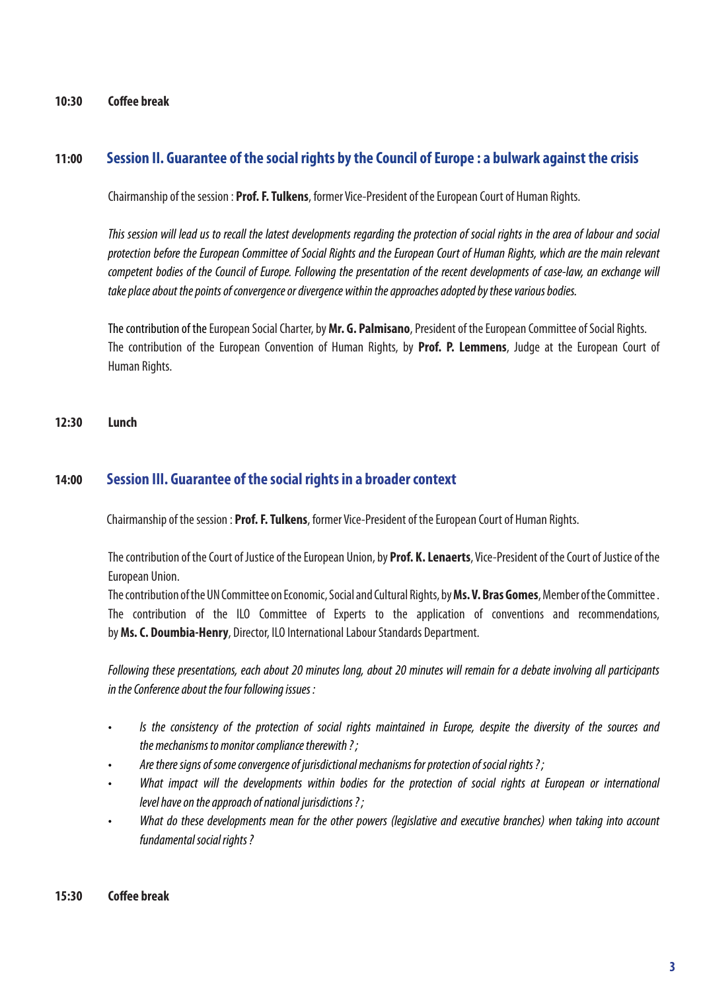### **10:30 Coffee break**

### **11:00 Session II. Guarantee of the social rights by the Council of Europe : a bulwark against the crisis**

Chairmanship of the session : **Prof. F. Tulkens**, former Vice-President of the European Court of Human Rights.

*This session will lead us to recall the latest developments regarding the protection of social rights in the area of labour and social protection before the European Committee of Social Rights and the European Court of Human Rights, which are the main relevant competent bodies of the Council of Europe. Following the presentation of the recent developments of case-law, an exchange will take place about the points of convergence or divergence within the approaches adopted by these various bodies.*

The contribution of the European Social Charter, by **Mr. G. Palmisano**, President of the European Committee of Social Rights. The contribution of the European Convention of Human Rights, by **Prof. P. Lemmens**, Judge at the European Court of Human Rights.

### **12:30 Lunch**

### **14:00 Session III. Guarantee of the social rights in a broader context**

Chairmanship of the session : **Prof. F. Tulkens**, former Vice-President of the European Court of Human Rights.

The contribution of the Court of Justice of the European Union, by **Prof. K. Lenaerts**, Vice-President of the Court of Justice of the European Union.

The contribution of the UN Committee on Economic, Social and Cultural Rights, by **Ms. V. Bras Gomes**, Member of the Committee . The contribution of the ILO Committee of Experts to the application of conventions and recommendations, by **Ms. C. Doumbia-Henry**, Director, ILO International Labour Standards Department.

*Following these presentations, each about 20 minutes long, about 20 minutes will remain for a debate involving all participants in the Conference about the four following issues :* 

- Is the consistency of the protection of social rights maintained in Europe, despite the diversity of the sources and  *the mechanisms to monitor compliance therewith ? ;*
- Are there signs of some convergence of jurisdictional mechanisms for protection of social rights?;
- What impact will the developments within bodies for the protection of social rights at European or international level have on the approach of national jurisdictions?;
- What do these developments mean for the other powers (legislative and executive branches) when taking into account  *fundamental social rights ?*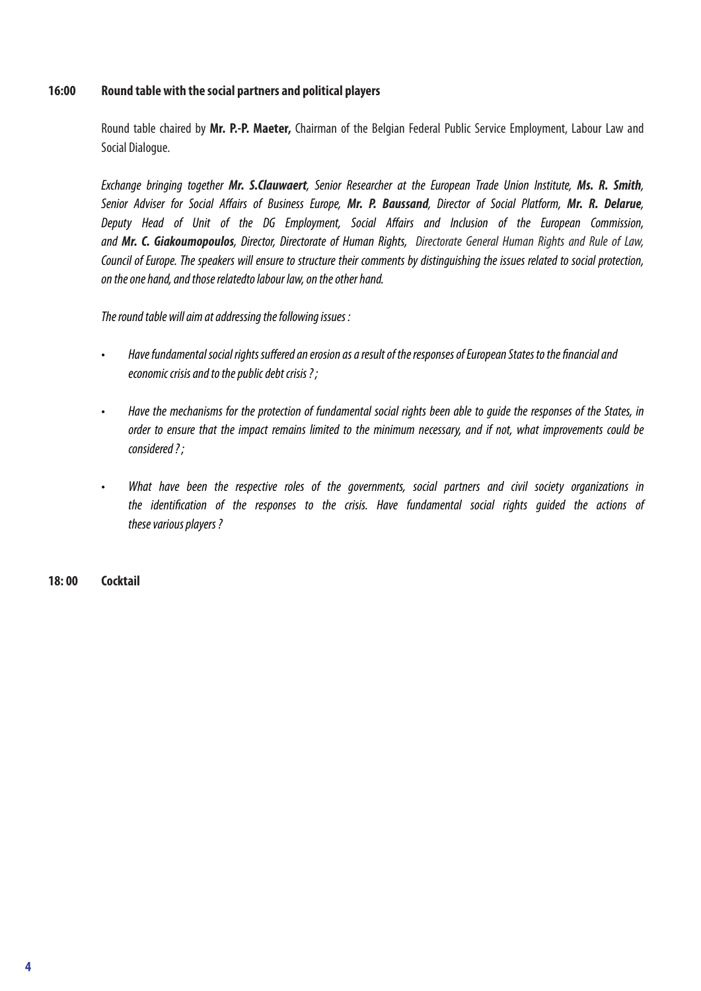### **16:00 Round table with the social partners and political players**

Round table chaired by **Mr. P.-P. Maeter,** Chairman of the Belgian Federal Public Service Employment, Labour Law and Social Dialogue.

*Exchange bringing together Mr. S.Clauwaert*, Senior Researcher at the European Trade Union Institute, *Ms. R. Smith,*  Senior Adviser for Social Affairs of Business Europe, *Mr. P. Baussand, Director of Social Platform, Mr. R. Delarue,*  Deputy Head of Unit of the DG Employment, Social Affairs and Inclusion of the European Commission, *and Mr. C. Giakoumopoulos, Director, Directorate of Human Rights, Directorate General Human Rights and Rule of Law, Council of Europe. The speakers will ensure to structure their comments by distinguishing the issues related to social protection, on the one hand, and those relatedto labour law, on the other hand.*

*The round table will aim at addressing the following issues :* 

- Have fundamental social rights suffered an erosion as a result of the responses of European States to the financial and  *economic crisis and to the public debt crisis ? ;*
- Have the mechanisms for the protection of fundamental social rights been able to quide the responses of the States, in  *order to ensure that the impact remains limited to the minimum necessary, and if not, what improvements could be considered ? ;*
- • What have been the respective roles of the governments, social partners and civil society organizations in  *the identification of the responses to the crisis. Have fundamental social rights guided the actions of these various players ?*

**18: 00 Cocktail**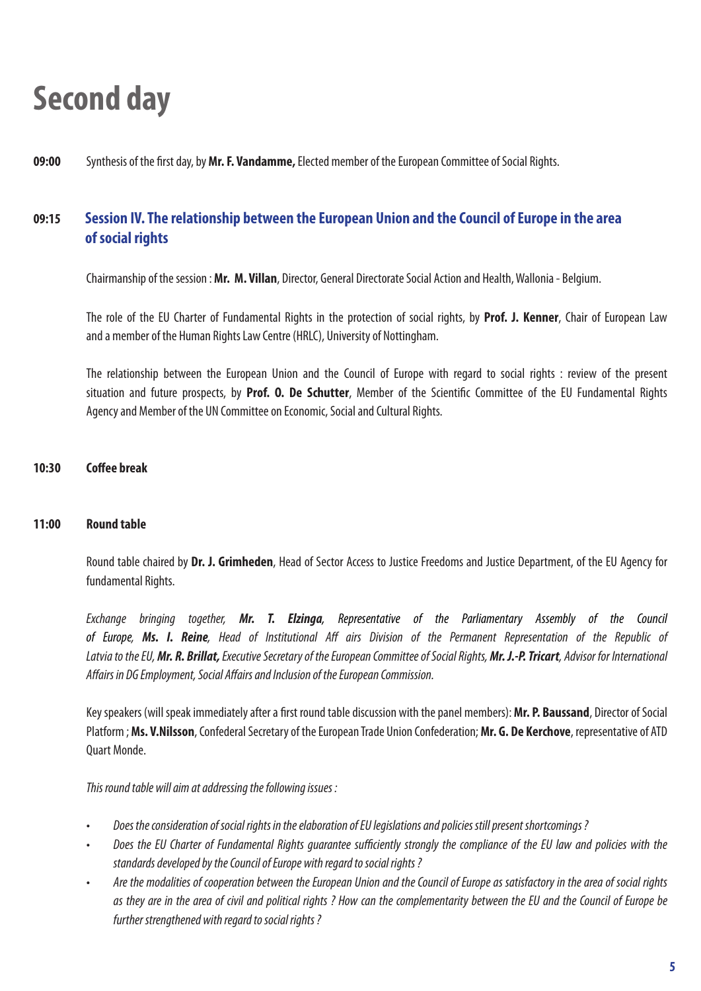# **Second day**

### **09:00** Synthesis of the first day, by **Mr. F. Vandamme,** Elected member of the European Committee of Social Rights.

# **09:15 Session IV. The relationship between the European Union and the Council of Europe in the area of social rights**

Chairmanship of the session : **Mr. M. Villan**, Director, General Directorate Social Action and Health, Wallonia - Belgium.

The role of the EU Charter of Fundamental Rights in the protection of social rights, by **Prof. J. Kenner**, Chair of European Law and a member of the Human Rights Law Centre (HRLC), University of Nottingham.

The relationship between the European Union and the Council of Europe with regard to social rights : review of the present situation and future prospects, by **Prof. O. De Schutter**, Member of the Scientific Committee of the EU Fundamental Rights Agency and Member of the UN Committee on Economic, Social and Cultural Rights.

### **10:30 Coffee break**

### **11:00 Round table**

Round table chaired by **Dr. J. Grimheden**, Head of Sector Access to Justice Freedoms and Justice Department, of the EU Agency for fundamental Rights.

*Exchange bringing together, Mr. T. Elzinga*, Representative of the Parliamentary Assembly of the Council *of Europe, Ms. I. Reine*, Head of Institutional Aff airs Division of the Permanent Representation of the Republic of *Latvia to the EU, Mr. R. Brillat, Executive Secretary of the European Committee of Social Rights, Mr. J.-P. Tricart*, Advisor for International Affairs in DG Employment, Social Affairs and Inclusion of the European Commission.

Key speakers (will speak immediately after a first round table discussion with the panel members): **Mr. P. Baussand**, Director of Social Platform ; **Ms. V.Nilsson**, Confederal Secretary of the European Trade Union Confederation; **Mr. G. De Kerchove**, representative of ATD Quart Monde.

*This round table will aim at addressing the following issues :*

- Does the consideration of social rights in the elaboration of EU legislations and policies still present shortcomings?
- • Does the EU Charter of Fundamental Rights guarantee sufficiently strongly the compliance of the EU law and policies with the  *standards developed by the Council of Europe with regard to social rights ?*
- Are the modalities of cooperation between the European Union and the Council of Europe as satisfactory in the area of social rights  *as they are in the area of civil and political rights ? How can the complementarity between the EU and the Council of Europe be further strengthened with regard to social rights ?*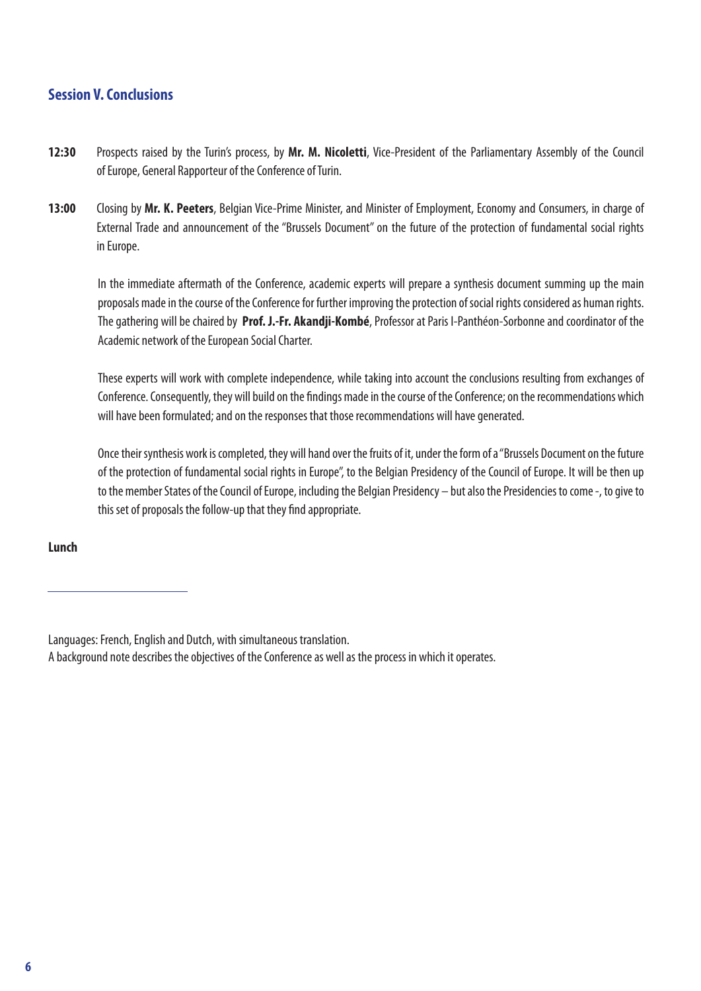## **Session V. Conclusions**

- **12:30** Prospects raised by the Turin's process, by **Mr. M. Nicoletti**, Vice-President of the Parliamentary Assembly of the Council of Europe, General Rapporteur of the Conference of Turin.
- **13:00** Closing by **Mr. K. Peeters**, Belgian Vice-Prime Minister, and Minister of Employment, Economy and Consumers, in charge of External Trade and announcement of the "Brussels Document" on the future of the protection of fundamental social rights in Europe.

In the immediate aftermath of the Conference, academic experts will prepare a synthesis document summing up the main proposals made in the course of the Conference for further improving the protection of social rights considered as human rights. The gathering will be chaired by **Prof. J.-Fr. Akandji-Kombé**, Professor at Paris I-Panthéon-Sorbonne and coordinator of the Academic network of the European Social Charter.

These experts will work with complete independence, while taking into account the conclusions resulting from exchanges of Conference. Consequently, they will build on the findings made in the course of the Conference; on the recommendations which will have been formulated; and on the responses that those recommendations will have generated.

Once their synthesis work is completed, they will hand over the fruits of it, under the form of a "Brussels Document on the future of the protection of fundamental social rights in Europe", to the Belgian Presidency of the Council of Europe. It will be then up to the member States of the Council of Europe, including the Belgian Presidency – but also the Presidencies to come -, to give to this set of proposals the follow-up that they find appropriate.

### **Lunch**

Languages: French, English and Dutch, with simultaneous translation.

A background note describes the objectives of the Conference as well as the process in which it operates.